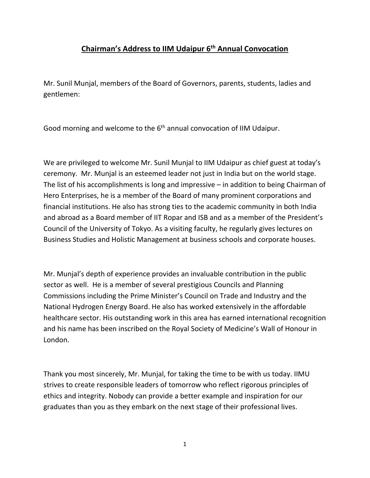## **Chairman's Address to IIM Udaipur 6th Annual Convocation**

Mr. Sunil Munjal, members of the Board of Governors, parents, students, ladies and gentlemen:

Good morning and welcome to the 6<sup>th</sup> annual convocation of IIM Udaipur.

We are privileged to welcome Mr. Sunil Munjal to IIM Udaipur as chief guest at today's ceremony. Mr. Munjal is an esteemed leader not just in India but on the world stage. The list of his accomplishments is long and impressive – in addition to being Chairman of Hero Enterprises, he is a member of the Board of many prominent corporations and financial institutions. He also has strong ties to the academic community in both India and abroad as a Board member of IIT Ropar and ISB and as a member of the President's Council of the University of Tokyo. As a visiting faculty, he regularly gives lectures on Business Studies and Holistic Management at business schools and corporate houses.

Mr. Munjal's depth of experience provides an invaluable contribution in the public sector as well. He is a member of several prestigious Councils and Planning Commissions including the Prime Minister's Council on Trade and Industry and the National Hydrogen Energy Board. He also has worked extensively in the affordable healthcare sector. His outstanding work in this area has earned international recognition and his name has been inscribed on the Royal Society of Medicine's Wall of Honour in London.

Thank you most sincerely, Mr. Munjal, for taking the time to be with us today. IIMU strives to create responsible leaders of tomorrow who reflect rigorous principles of ethics and integrity. Nobody can provide a better example and inspiration for our graduates than you as they embark on the next stage of their professional lives.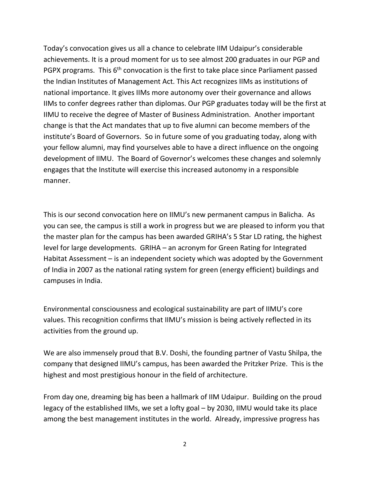Today's convocation gives us all a chance to celebrate IIM Udaipur's considerable achievements. It is a proud moment for us to see almost 200 graduates in our PGP and PGPX programs. This 6<sup>th</sup> convocation is the first to take place since Parliament passed the Indian Institutes of Management Act. This Act recognizes IIMs as institutions of national importance. It gives IIMs more autonomy over their governance and allows IIMs to confer degrees rather than diplomas. Our PGP graduates today will be the first at IIMU to receive the degree of Master of Business Administration. Another important change is that the Act mandates that up to five alumni can become members of the institute's Board of Governors. So in future some of you graduating today, along with your fellow alumni, may find yourselves able to have a direct influence on the ongoing development of IIMU. The Board of Governor's welcomes these changes and solemnly engages that the Institute will exercise this increased autonomy in a responsible manner.

This is our second convocation here on IIMU's new permanent campus in Balicha. As you can see, the campus is still a work in progress but we are pleased to inform you that the master plan for the campus has been awarded GRIHA's 5 Star LD rating, the highest level for large developments. GRIHA – an acronym for Green Rating for Integrated Habitat Assessment – is an independent society which was adopted by the Government of India in 2007 as the national rating system for green (energy efficient) buildings and campuses in India.

Environmental consciousness and ecological sustainability are part of IIMU's core values. This recognition confirms that IIMU's mission is being actively reflected in its activities from the ground up.

We are also immensely proud that B.V. Doshi, the founding partner of Vastu Shilpa, the company that designed IIMU's campus, has been awarded the Pritzker Prize. This is the highest and most prestigious honour in the field of architecture.

From day one, dreaming big has been a hallmark of IIM Udaipur. Building on the proud legacy of the established IIMs, we set a lofty goal – by 2030, IIMU would take its place among the best management institutes in the world. Already, impressive progress has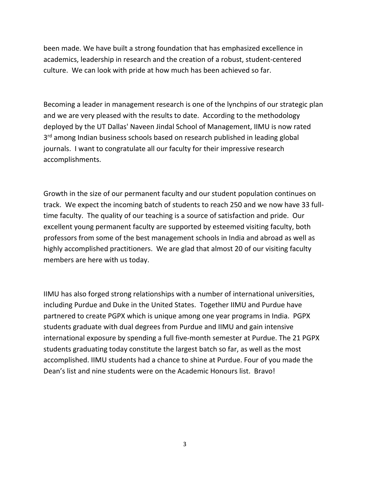been made. We have built a strong foundation that has emphasized excellence in academics, leadership in research and the creation of a robust, student-centered culture. We can look with pride at how much has been achieved so far.

Becoming a leader in management research is one of the lynchpins of our strategic plan and we are very pleased with the results to date. According to the methodology deployed by the UT Dallas' Naveen Jindal School of Management, IIMU is now rated 3<sup>rd</sup> among Indian business schools based on research published in leading global journals. I want to congratulate all our faculty for their impressive research accomplishments.

Growth in the size of our permanent faculty and our student population continues on track. We expect the incoming batch of students to reach 250 and we now have 33 fulltime faculty. The quality of our teaching is a source of satisfaction and pride. Our excellent young permanent faculty are supported by esteemed visiting faculty, both professors from some of the best management schools in India and abroad as well as highly accomplished practitioners. We are glad that almost 20 of our visiting faculty members are here with us today.

IIMU has also forged strong relationships with a number of international universities, including Purdue and Duke in the United States. Together IIMU and Purdue have partnered to create PGPX which is unique among one year programs in India. PGPX students graduate with dual degrees from Purdue and IIMU and gain intensive international exposure by spending a full five-month semester at Purdue. The 21 PGPX students graduating today constitute the largest batch so far, as well as the most accomplished. IIMU students had a chance to shine at Purdue. Four of you made the Dean's list and nine students were on the Academic Honours list. Bravo!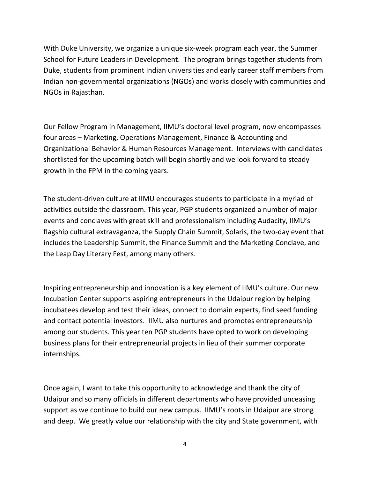With Duke University, we organize a unique six-week program each year, the Summer School for Future Leaders in Development. The program brings together students from Duke, students from prominent Indian universities and early career staff members from Indian non-governmental organizations (NGOs) and works closely with communities and NGOs in Rajasthan.

Our Fellow Program in Management, IIMU's doctoral level program, now encompasses four areas – Marketing, Operations Management, Finance & Accounting and Organizational Behavior & Human Resources Management. Interviews with candidates shortlisted for the upcoming batch will begin shortly and we look forward to steady growth in the FPM in the coming years.

The student-driven culture at IIMU encourages students to participate in a myriad of activities outside the classroom. This year, PGP students organized a number of major events and conclaves with great skill and professionalism including Audacity, IIMU's flagship cultural extravaganza, the Supply Chain Summit, Solaris, the two-day event that includes the Leadership Summit, the Finance Summit and the Marketing Conclave, and the Leap Day Literary Fest, among many others.

Inspiring entrepreneurship and innovation is a key element of IIMU's culture. Our new Incubation Center supports aspiring entrepreneurs in the Udaipur region by helping incubatees develop and test their ideas, connect to domain experts, find seed funding and contact potential investors. IIMU also nurtures and promotes entrepreneurship among our students. This year ten PGP students have opted to work on developing business plans for their entrepreneurial projects in lieu of their summer corporate internships.

Once again, I want to take this opportunity to acknowledge and thank the city of Udaipur and so many officials in different departments who have provided unceasing support as we continue to build our new campus. IIMU's roots in Udaipur are strong and deep. We greatly value our relationship with the city and State government, with